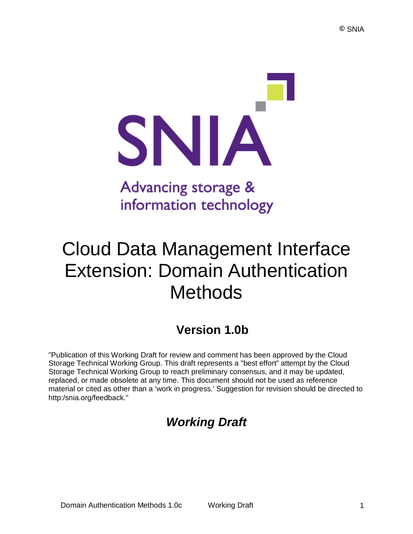

# Cloud Data Management Interface Extension: Domain Authentication **Methods**

## **Version 1.0b**

"Publication of this Working Draft for review and comment has been approved by the Cloud Storage Technical Working Group. This draft represents a "best effort" attempt by the Cloud Storage Technical Working Group to reach preliminary consensus, and it may be updated, replaced, or made obsolete at any time. This document should not be used as reference material or cited as other than a 'work in progress.' Suggestion for revision should be directed to http:/snia.org/feedback."

### *Working Draft*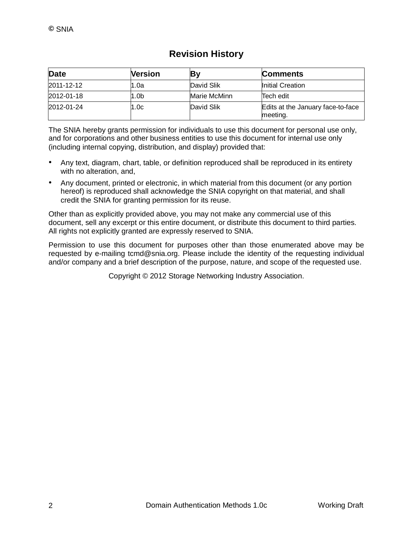### **Revision History**

| Date       | <b>Version</b>   | Βv           | <b>Comments</b>                               |
|------------|------------------|--------------|-----------------------------------------------|
| 2011-12-12 | 1.0a             | David Slik   | Initial Creation                              |
| 2012-01-18 | 1.0 <sub>b</sub> | Marie McMinn | Tech edit                                     |
| 2012-01-24 | 1.0c             | David Slik   | Edits at the January face-to-face<br>meeting. |

The SNIA hereby grants permission for individuals to use this document for personal use only, and for corporations and other business entities to use this document for internal use only (including internal copying, distribution, and display) provided that:

- Any text, diagram, chart, table, or definition reproduced shall be reproduced in its entirety with no alteration, and,
- Any document, printed or electronic, in which material from this document (or any portion hereof) is reproduced shall acknowledge the SNIA copyright on that material, and shall credit the SNIA for granting permission for its reuse.

Other than as explicitly provided above, you may not make any commercial use of this document, sell any excerpt or this entire document, or distribute this document to third parties. All rights not explicitly granted are expressly reserved to SNIA.

Permission to use this document for purposes other than those enumerated above may be requested by e-mailing tcmd@snia.org. Please include the identity of the requesting individual and/or company and a brief description of the purpose, nature, and scope of the requested use.

Copyright © 2012 Storage Networking Industry Association.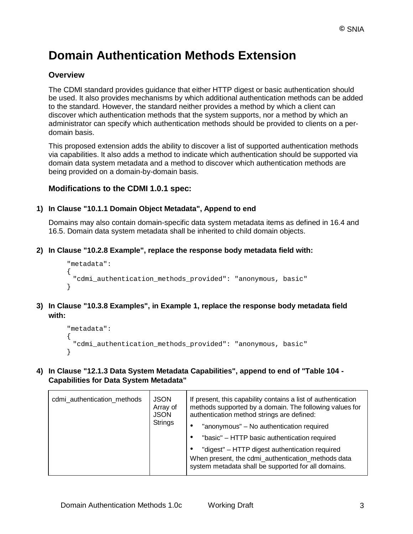### **Domain Authentication Methods Extension**

#### **Overview**

The CDMI standard provides guidance that either HTTP digest or basic authentication should be used. It also provides mechanisms by which additional authentication methods can be added to the standard. However, the standard neither provides a method by which a client can discover which authentication methods that the system supports, nor a method by which an administrator can specify which authentication methods should be provided to clients on a perdomain basis.

This proposed extension adds the ability to discover a list of supported authentication methods via capabilities. It also adds a method to indicate which authentication should be supported via domain data system metadata and a method to discover which authentication methods are being provided on a domain-by-domain basis.

#### **Modifications to the CDMI 1.0.1 spec:**

#### **1) In Clause "10.1.1 Domain Object Metadata", Append to end**

Domains may also contain domain-specific data system metadata items as defined in 16.4 and 16.5. Domain data system metadata shall be inherited to child domain objects.

**2) In Clause "10.2.8 Example", replace the response body metadata field with:**

```
"metadata": 
{
 "cdmi authentication methods provided": "anonymous, basic"
}
```
**3) In Clause "10.3.8 Examples", in Example 1, replace the response body metadata field with:**

```
"metadata": 
{
 "cdmi_authentication_methods_provided": "anonymous, basic"
}
```
**4) In Clause "12.1.3 Data System Metadata Capabilities", append to end of "Table 104 - Capabilities for Data System Metadata"**

| <b>JSON</b><br>cdmi authentication methods<br>Array of<br><b>JSON</b><br>Strings<br>٠ | If present, this capability contains a list of authentication<br>methods supported by a domain. The following values for<br>authentication method strings are defined:<br>"anonymous" - No authentication required<br>"basic" - HTTP basic authentication required<br>"digest" – HTTP digest authentication required<br>When present, the cdmi_authentication_methods data<br>system metadata shall be supported for all domains. |
|---------------------------------------------------------------------------------------|-----------------------------------------------------------------------------------------------------------------------------------------------------------------------------------------------------------------------------------------------------------------------------------------------------------------------------------------------------------------------------------------------------------------------------------|
|---------------------------------------------------------------------------------------|-----------------------------------------------------------------------------------------------------------------------------------------------------------------------------------------------------------------------------------------------------------------------------------------------------------------------------------------------------------------------------------------------------------------------------------|